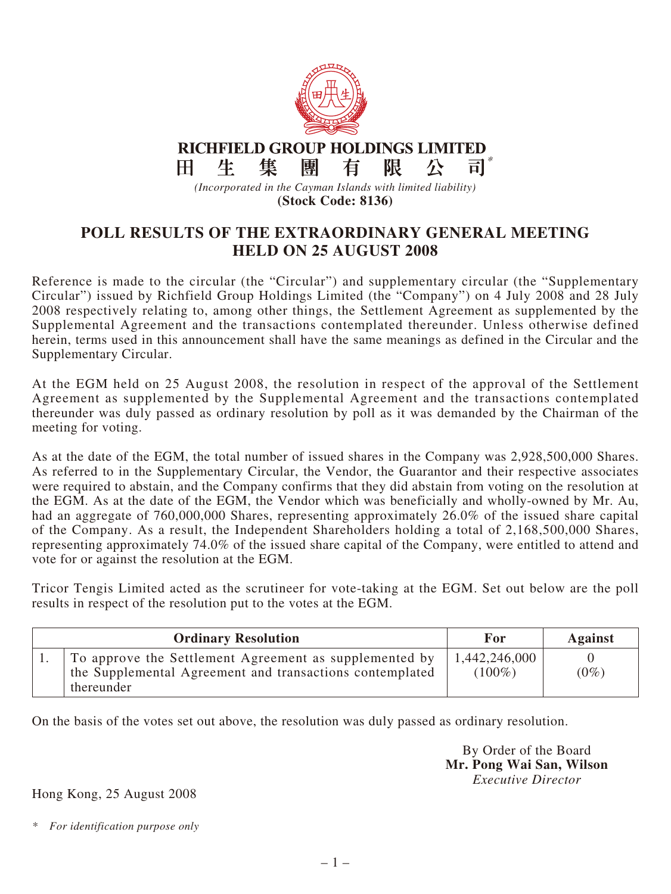

**RICHFIELD GROUP HOLDINGS LIMITED** \*生 集 團 限  $H$ 有 八 司

*(Incorporated in the Cayman Islands with limited liability)* **(Stock Code: 8136)**

## **POLL RESULTS OF THE EXTRAORDINARY GENERAL MEETING HELD ON 25 AUGUST 2008**

Reference is made to the circular (the "Circular") and supplementary circular (the "Supplementary Circular") issued by Richfield Group Holdings Limited (the "Company") on 4 July 2008 and 28 July 2008 respectively relating to, among other things, the Settlement Agreement as supplemented by the Supplemental Agreement and the transactions contemplated thereunder. Unless otherwise defined herein, terms used in this announcement shall have the same meanings as defined in the Circular and the Supplementary Circular.

At the EGM held on 25 August 2008, the resolution in respect of the approval of the Settlement Agreement as supplemented by the Supplemental Agreement and the transactions contemplated thereunder was duly passed as ordinary resolution by poll as it was demanded by the Chairman of the meeting for voting.

As at the date of the EGM, the total number of issued shares in the Company was 2,928,500,000 Shares. As referred to in the Supplementary Circular, the Vendor, the Guarantor and their respective associates were required to abstain, and the Company confirms that they did abstain from voting on the resolution at the EGM. As at the date of the EGM, the Vendor which was beneficially and wholly-owned by Mr. Au, had an aggregate of 760,000,000 Shares, representing approximately 26.0% of the issued share capital of the Company. As a result, the Independent Shareholders holding a total of 2,168,500,000 Shares, representing approximately 74.0% of the issued share capital of the Company, were entitled to attend and vote for or against the resolution at the EGM.

Tricor Tengis Limited acted as the scrutineer for vote-taking at the EGM. Set out below are the poll results in respect of the resolution put to the votes at the EGM.

| <b>Ordinary Resolution</b>                                                                                                       | For                        | <b>Against</b> |
|----------------------------------------------------------------------------------------------------------------------------------|----------------------------|----------------|
| To approve the Settlement Agreement as supplemented by<br>the Supplemental Agreement and transactions contemplated<br>thereunder | 1,442,246,000<br>$(100\%)$ | $(0\%)$        |

On the basis of the votes set out above, the resolution was duly passed as ordinary resolution.

By Order of the Board **Mr. Pong Wai San, Wilson** *Executive Director*

## Hong Kong, 25 August 2008

*\* For identification purpose only*